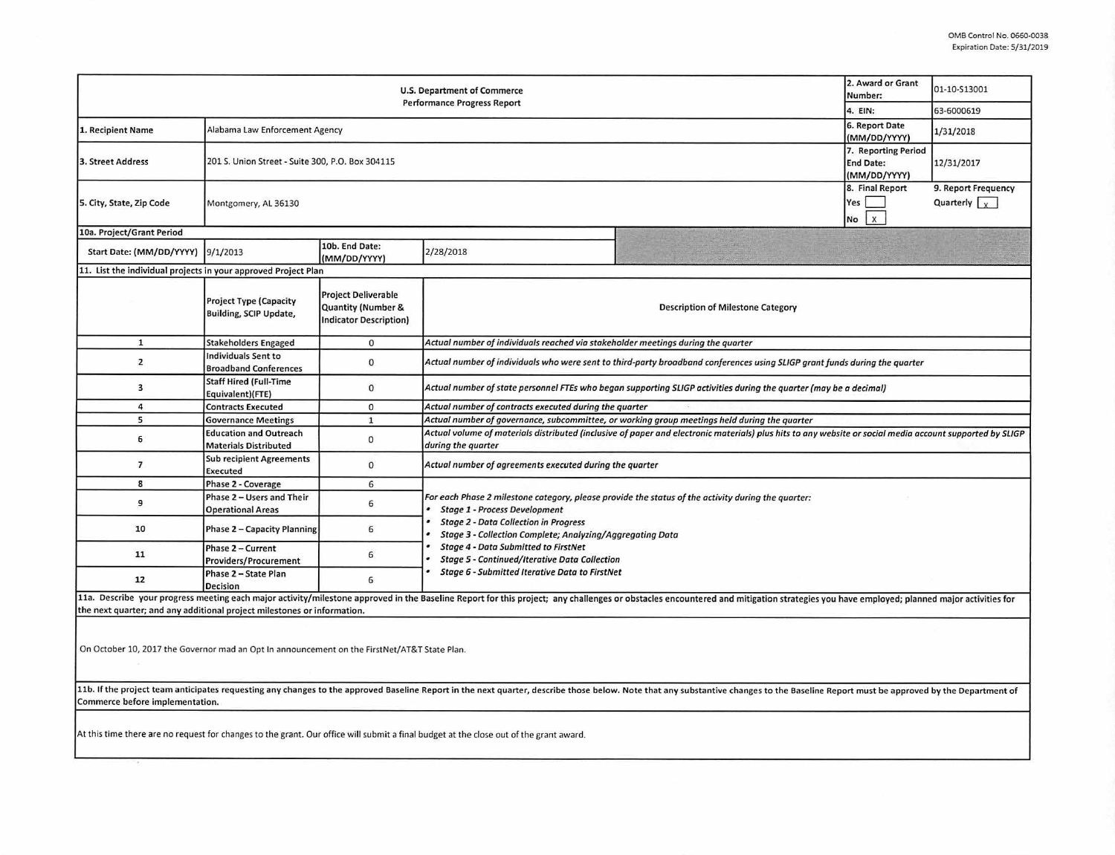| U.S. Department of Commerce<br><b>Performance Progress Report</b>                                                                                                                                                                                                 |                                                                |                                                                                              |                                                                                                                                                                                                                                                                |                                                                                              | 2. Award or Grant<br>Number:                            | 01-10-S13001                                |  |  |  |  |
|-------------------------------------------------------------------------------------------------------------------------------------------------------------------------------------------------------------------------------------------------------------------|----------------------------------------------------------------|----------------------------------------------------------------------------------------------|----------------------------------------------------------------------------------------------------------------------------------------------------------------------------------------------------------------------------------------------------------------|----------------------------------------------------------------------------------------------|---------------------------------------------------------|---------------------------------------------|--|--|--|--|
|                                                                                                                                                                                                                                                                   |                                                                |                                                                                              |                                                                                                                                                                                                                                                                |                                                                                              | 4. EIN:                                                 | 63-6000619                                  |  |  |  |  |
| 1. Recipient Name                                                                                                                                                                                                                                                 | Alabama Law Enforcement Agency                                 |                                                                                              |                                                                                                                                                                                                                                                                |                                                                                              | 6. Report Date<br>(MM/DD/YYYY)                          | 1/31/2018                                   |  |  |  |  |
| 3. Street Address                                                                                                                                                                                                                                                 | 201 S. Union Street - Suite 300, P.O. Box 304115               |                                                                                              |                                                                                                                                                                                                                                                                |                                                                                              | 7. Reporting Period<br><b>End Date:</b><br>(MM/DD/YYYY) | 12/31/2017                                  |  |  |  |  |
| 5. City, State, Zip Code                                                                                                                                                                                                                                          | Montgomery, AL 36130                                           |                                                                                              |                                                                                                                                                                                                                                                                |                                                                                              | 8. Final Report<br>Yes<br>$\mathbf{x}$<br>No            | 9. Report Frequency<br>Quarterly $\sqrt{x}$ |  |  |  |  |
| 10a. Project/Grant Period                                                                                                                                                                                                                                         |                                                                |                                                                                              |                                                                                                                                                                                                                                                                |                                                                                              |                                                         |                                             |  |  |  |  |
| Start Date: (MM/DD/YYYY)                                                                                                                                                                                                                                          | 9/1/2013                                                       | 10b. End Date:<br>(MM/DD/YYYY)                                                               | 2/28/2018                                                                                                                                                                                                                                                      |                                                                                              |                                                         |                                             |  |  |  |  |
| 11. List the individual projects in your approved Project Plan                                                                                                                                                                                                    |                                                                |                                                                                              |                                                                                                                                                                                                                                                                |                                                                                              |                                                         |                                             |  |  |  |  |
|                                                                                                                                                                                                                                                                   | <b>Project Type (Capacity</b><br><b>Building, SCIP Update,</b> | <b>Project Deliverable</b><br><b>Quantity (Number &amp;</b><br><b>Indicator Description)</b> | <b>Description of Milestone Category</b>                                                                                                                                                                                                                       |                                                                                              |                                                         |                                             |  |  |  |  |
| $\mathbf{1}$                                                                                                                                                                                                                                                      | <b>Stakeholders Engaged</b>                                    | $\mathbf 0$                                                                                  | Actual number of individuals reached via stakeholder meetings during the quarter                                                                                                                                                                               |                                                                                              |                                                         |                                             |  |  |  |  |
| $\overline{2}$                                                                                                                                                                                                                                                    | <b>Individuals Sent to</b><br><b>Broadband Conferences</b>     | $\bf{0}$                                                                                     | Actual number of individuals who were sent to third-party broadband conferences using SLIGP grant funds during the quarter                                                                                                                                     |                                                                                              |                                                         |                                             |  |  |  |  |
| 3                                                                                                                                                                                                                                                                 | <b>Staff Hired (Full-Time</b><br>Equivalent)(FTE)              | $\mathbf{0}$                                                                                 | Actual number of state personnel FTEs who began supporting SLIGP activities during the quarter (may be a decimal)                                                                                                                                              |                                                                                              |                                                         |                                             |  |  |  |  |
| 4                                                                                                                                                                                                                                                                 | <b>Contracts Executed</b>                                      | 0                                                                                            | Actual number of contracts executed during the quarter                                                                                                                                                                                                         |                                                                                              |                                                         |                                             |  |  |  |  |
| 5                                                                                                                                                                                                                                                                 | <b>Governance Meetings</b>                                     | $\mathbf{1}$                                                                                 |                                                                                                                                                                                                                                                                | Actual number of governance, subcommittee, or working group meetings held during the quarter |                                                         |                                             |  |  |  |  |
| 6                                                                                                                                                                                                                                                                 | <b>Education and Outreach</b><br><b>Materials Distributed</b>  | $\mathbf 0$                                                                                  | Actual volume of materials distributed (inclusive of paper and electronic materials) plus hits to any website or social media account supported by SLIGP<br>during the quarter                                                                                 |                                                                                              |                                                         |                                             |  |  |  |  |
| $\overline{7}$                                                                                                                                                                                                                                                    | <b>Sub recipient Agreements</b><br>Executed                    | $\mathbf 0$                                                                                  | Actual number of agreements executed during the quarter                                                                                                                                                                                                        |                                                                                              |                                                         |                                             |  |  |  |  |
| 8                                                                                                                                                                                                                                                                 | Phase 2 - Coverage                                             | 6                                                                                            |                                                                                                                                                                                                                                                                |                                                                                              |                                                         |                                             |  |  |  |  |
| 9                                                                                                                                                                                                                                                                 | Phase 2 - Users and Their<br><b>Operational Areas</b>          | 6                                                                                            | For each Phase 2 milestone category, please provide the status of the activity during the quarter:<br><b>Stage 1 - Process Development</b><br><b>Stage 2 - Data Collection in Progress</b><br><b>Stage 3 - Collection Complete; Analyzing/Aggregating Data</b> |                                                                                              |                                                         |                                             |  |  |  |  |
| 10                                                                                                                                                                                                                                                                | Phase 2 - Capacity Planning                                    | 6                                                                                            |                                                                                                                                                                                                                                                                |                                                                                              |                                                         |                                             |  |  |  |  |
| 11                                                                                                                                                                                                                                                                | Phase 2 - Current<br><b>Providers/Procurement</b>              | 6                                                                                            | <b>Stage 4 - Data Submitted to FirstNet</b><br><b>Stage 5 - Continued/Iterative Data Collection</b><br><b>Stage 6 - Submitted Iterative Data to FirstNet</b>                                                                                                   |                                                                                              |                                                         |                                             |  |  |  |  |
| 12                                                                                                                                                                                                                                                                | Phase 2 - State Plan<br><b>Decision</b>                        | 6                                                                                            |                                                                                                                                                                                                                                                                |                                                                                              |                                                         |                                             |  |  |  |  |
| 11a. Describe your progress meeting each major activity/milestone approved in the Baseline Report for this project; any challenges or obstacles encountered and mitigation strategies you have employed; planned major activit                                    |                                                                |                                                                                              |                                                                                                                                                                                                                                                                |                                                                                              |                                                         |                                             |  |  |  |  |
| the next quarter; and any additional project milestones or information.                                                                                                                                                                                           |                                                                |                                                                                              |                                                                                                                                                                                                                                                                |                                                                                              |                                                         |                                             |  |  |  |  |
| On October 10, 2017 the Governor mad an Opt In announcement on the FirstNet/AT&T State Plan.                                                                                                                                                                      |                                                                |                                                                                              |                                                                                                                                                                                                                                                                |                                                                                              |                                                         |                                             |  |  |  |  |
|                                                                                                                                                                                                                                                                   |                                                                |                                                                                              |                                                                                                                                                                                                                                                                |                                                                                              |                                                         |                                             |  |  |  |  |
| 11b. If the project team anticipates requesting any changes to the approved Baseline Report in the next quarter, describe those below. Note that any substantive changes to the Baseline Report must be approved by the Depart<br>Commerce before implementation. |                                                                |                                                                                              |                                                                                                                                                                                                                                                                |                                                                                              |                                                         |                                             |  |  |  |  |
|                                                                                                                                                                                                                                                                   |                                                                |                                                                                              |                                                                                                                                                                                                                                                                |                                                                                              |                                                         |                                             |  |  |  |  |
|                                                                                                                                                                                                                                                                   |                                                                |                                                                                              |                                                                                                                                                                                                                                                                |                                                                                              |                                                         |                                             |  |  |  |  |

At this time there are no request for changes to the grant. Our office will submit a final budget at the close out of the grant award.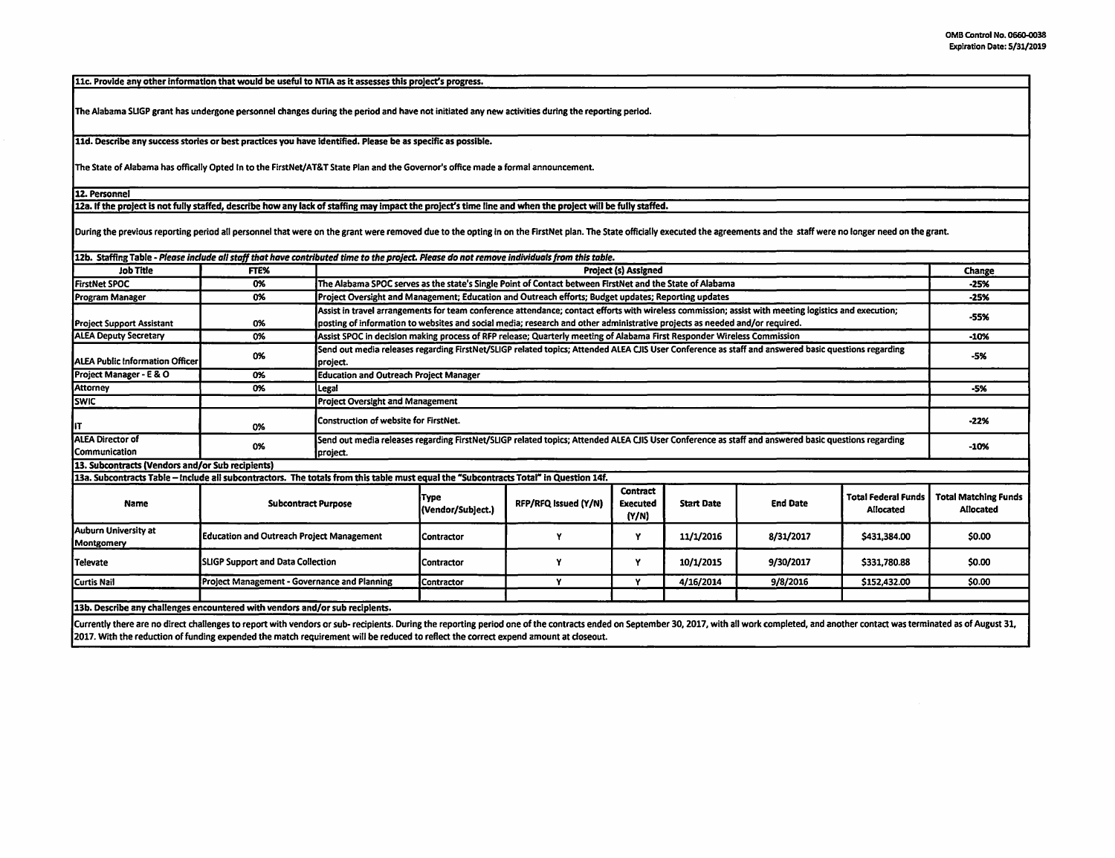11c. Provide any other Information that would be useful to NTIA as it assesses this project's progress.

The Alabama SLIGP grant has undergone personnel changes during the period and have not initiated any new activities during the reporting period.

11d. Describe any success stories or best practices you have Identified. Please be as specific as possible.

The State of Alabama has offically Opted In to the FirstNet/AT&T State Plan and the Governor's office made a formal announcement.

12. Personnel

12a. If the project is not fully staffed, describe how any lack of staffing may impact the project's time line and when the project will be fully staffed.

During the previous reporting period all personnel that were on the grant were removed due to the opting in on the FirstNet plan. The State officially executed the agreements and the staff were no longer need on the grant.

| 12b. Staffing Table - Please include all staff that have contributed time to the project. Please do not remove individuals from this table. |                                                  |                                                                                                                                                                 |                                                                                                                                                     |                      |                                             |                   |                 |                                         |                                          |
|---------------------------------------------------------------------------------------------------------------------------------------------|--------------------------------------------------|-----------------------------------------------------------------------------------------------------------------------------------------------------------------|-----------------------------------------------------------------------------------------------------------------------------------------------------|----------------------|---------------------------------------------|-------------------|-----------------|-----------------------------------------|------------------------------------------|
| <b>Job Title</b>                                                                                                                            | FTE%                                             |                                                                                                                                                                 | Project (s) Assigned                                                                                                                                |                      |                                             |                   |                 |                                         |                                          |
| <b>FirstNet SPOC</b>                                                                                                                        | 0%                                               |                                                                                                                                                                 | The Alabama SPOC serves as the state's Single Point of Contact between FirstNet and the State of Alabama                                            |                      |                                             |                   |                 |                                         | $-25%$                                   |
| Program Manager                                                                                                                             | 0%                                               |                                                                                                                                                                 | Project Oversight and Management; Education and Outreach efforts; Budget updates; Reporting updates                                                 |                      |                                             |                   |                 |                                         | $-25%$                                   |
|                                                                                                                                             |                                                  | Assist in travel arrangements for team conference attendance; contact efforts with wireless commission; assist with meeting logistics and execution;            |                                                                                                                                                     |                      |                                             |                   |                 |                                         | $-55%$                                   |
| <b>Project Support Assistant</b>                                                                                                            | 0%                                               |                                                                                                                                                                 | posting of information to websites and social media; research and other administrative projects as needed and/or required.                          |                      |                                             |                   |                 |                                         |                                          |
| <b>ALEA Deputy Secretary</b>                                                                                                                | 0%                                               | Assist SPOC in decision making process of RFP release; Quarterly meeting of Alabama First Responder Wireless Commission                                         |                                                                                                                                                     |                      |                                             |                   |                 | -10%                                    |                                          |
| <b>IALEA Public Information Officer</b>                                                                                                     | 0%                                               | project.                                                                                                                                                        | Send out media releases regarding FirstNet/SLIGP related topics; Attended ALEA CJIS User Conference as staff and answered basic questions regarding |                      |                                             |                   |                 |                                         | $-5%$                                    |
| Project Manager - E & O                                                                                                                     | 0%                                               |                                                                                                                                                                 | <b>Education and Outreach Project Manager</b>                                                                                                       |                      |                                             |                   |                 |                                         |                                          |
| Attorney                                                                                                                                    | 0%                                               | Legal                                                                                                                                                           |                                                                                                                                                     |                      |                                             |                   |                 |                                         |                                          |
| <b>SWIC</b>                                                                                                                                 |                                                  |                                                                                                                                                                 | <b>Project Oversight and Management</b>                                                                                                             |                      |                                             |                   |                 |                                         |                                          |
| lιτ                                                                                                                                         | 0%                                               |                                                                                                                                                                 | Construction of website for FirstNet.                                                                                                               |                      |                                             |                   |                 |                                         | $-22%$                                   |
| <b>ALEA Director of</b><br>Communication                                                                                                    | 0%                                               | Send out media releases regarding FirstNet/SLIGP related topics; Attended ALEA CJIS User Conference as staff and answered basic questions regarding<br>project. |                                                                                                                                                     |                      |                                             |                   |                 |                                         | $-10%$                                   |
| 13. Subcontracts (Vendors and/or Sub recipients)                                                                                            |                                                  |                                                                                                                                                                 |                                                                                                                                                     |                      |                                             |                   |                 |                                         |                                          |
| 13a. Subcontracts Table - Include all subcontractors. The totals from this table must equal the "Subcontracts Total" in Question 14f.       |                                                  |                                                                                                                                                                 |                                                                                                                                                     |                      |                                             |                   |                 |                                         |                                          |
| Name                                                                                                                                        | <b>Subcontract Purpose</b>                       |                                                                                                                                                                 | Type<br>(Vendor/Subject.)                                                                                                                           | RFP/RFQ issued (Y/N) | <b>Contract</b><br><b>Executed</b><br>(Y/N) | <b>Start Date</b> | <b>End Date</b> | <b>Total Federal Funds</b><br>Allocated | <b>Total Matching Funds</b><br>Allocated |
| Auburn University at<br>Montgomery                                                                                                          | <b>Education and Outreach Project Management</b> |                                                                                                                                                                 | Contractor                                                                                                                                          |                      | Υ                                           | 11/1/2016         | 8/31/2017       | \$431,384.00                            | \$0.00                                   |
| Televate                                                                                                                                    | <b>SLIGP Support and Data Collection</b>         |                                                                                                                                                                 | Contractor                                                                                                                                          | ٧                    | Y                                           | 10/1/2015         | 9/30/2017       | \$331,780.88                            | \$0.00                                   |
| Curtis Nail                                                                                                                                 | Project Management - Governance and Planning     |                                                                                                                                                                 | Contractor                                                                                                                                          | v                    | v                                           | 4/16/2014         | 9/8/2016        | \$152,432.00                            | \$0.00                                   |
|                                                                                                                                             |                                                  |                                                                                                                                                                 |                                                                                                                                                     |                      |                                             |                   |                 |                                         |                                          |
| 13b. Describe any challenges encountered with vendors and/or sub recipients.                                                                |                                                  |                                                                                                                                                                 |                                                                                                                                                     |                      |                                             |                   |                 |                                         |                                          |
|                                                                                                                                             |                                                  |                                                                                                                                                                 |                                                                                                                                                     |                      |                                             |                   |                 |                                         |                                          |

Currently there are no direct challenges to report with vendors or sub-recipients. During the reporting period one of the contracts ended on September 30, 2017, with all work completed, and another contact was terminated a 2017. With the reduction of funding expended the match requirement will be reduced *to* reflect the correct expend amount at doseout.